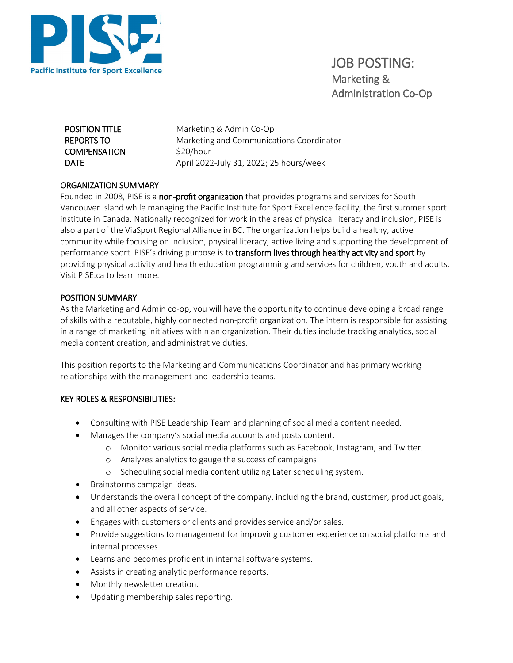

JOB POSTING: Marketing & Administration Co-Op

REPORTS TO **COMPENSATION** 

**POSITION TITLE** Marketing & Admin Co-Op Marketing and Communications Coordinator \$20/hour **DATE** April 2022-July 31, 2022; 25 hours/week

# ORGANIZATION SUMMARY

Founded in 2008, PISE is a non-profit organization that provides programs and services for South Vancouver Island while managing the Pacific Institute for Sport Excellence facility, the first summer sport institute in Canada. Nationally recognized for work in the areas of physical literacy and inclusion, PISE is also a part of the ViaSport Regional Alliance in BC. The organization helps build a healthy, active community while focusing on inclusion, physical literacy, active living and supporting the development of performance sport. PISE's driving purpose is to transform lives through healthy activity and sport by providing physical activity and health education programming and services for children, youth and adults. Visit PISE.ca to learn more.

## POSITION SUMMARY

As the Marketing and Admin co-op, you will have the opportunity to continue developing a broad range of skills with a reputable, highly connected non-profit organization. The intern is responsible for assisting in a range of marketing initiatives within an organization. Their duties include tracking analytics, social media content creation, and administrative duties.

This position reports to the Marketing and Communications Coordinator and has primary working relationships with the management and leadership teams.

## KEY ROLES & RESPONSIBILITIES:

- Consulting with PISE Leadership Team and planning of social media content needed.
- Manages the company's social media accounts and posts content.
	- o Monitor various social media platforms such as Facebook, Instagram, and Twitter.
	- o Analyzes analytics to gauge the success of campaigns.
	- o Scheduling social media content utilizing Later scheduling system.
- Brainstorms campaign ideas.
- Understands the overall concept of the company, including the brand, customer, product goals, and all other aspects of service.
- Engages with customers or clients and provides service and/or sales.
- Provide suggestions to management for improving customer experience on social platforms and internal processes.
- Learns and becomes proficient in internal software systems.
- Assists in creating analytic performance reports.
- Monthly newsletter creation.
- Updating membership sales reporting.